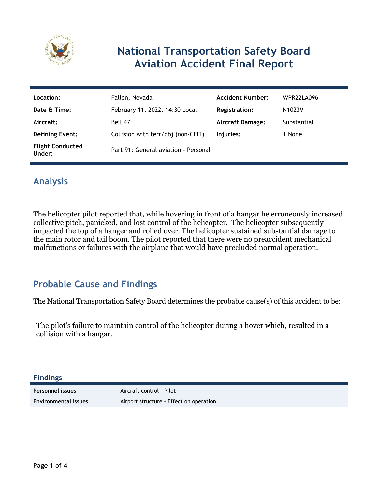

# **National Transportation Safety Board Aviation Accident Final Report**

| Location:                         | Fallon, Nevada                       | <b>Accident Number:</b> | WPR22LA096          |
|-----------------------------------|--------------------------------------|-------------------------|---------------------|
| Date & Time:                      | February 11, 2022, 14:30 Local       | <b>Registration:</b>    | N <sub>1023</sub> V |
| Aircraft:                         | Bell 47                              | <b>Aircraft Damage:</b> | Substantial         |
| <b>Defining Event:</b>            | Collision with terr/obj (non-CFIT)   | Injuries:               | 1 None              |
| <b>Flight Conducted</b><br>Under: | Part 91: General aviation - Personal |                         |                     |

## **Analysis**

The helicopter pilot reported that, while hovering in front of a hangar he erroneously increased collective pitch, panicked, and lost control of the helicopter. The helicopter subsequently impacted the top of a hanger and rolled over. The helicopter sustained substantial damage to the main rotor and tail boom. The pilot reported that there were no preaccident mechanical malfunctions or failures with the airplane that would have precluded normal operation.

### **Probable Cause and Findings**

The National Transportation Safety Board determines the probable cause(s) of this accident to be:

The pilot's failure to maintain control of the helicopter during a hover which, resulted in a collision with a hangar.

**Findings**

**Personnel issues** Aircraft control - Pilot **Environmental issues** Airport structure - Effect on operation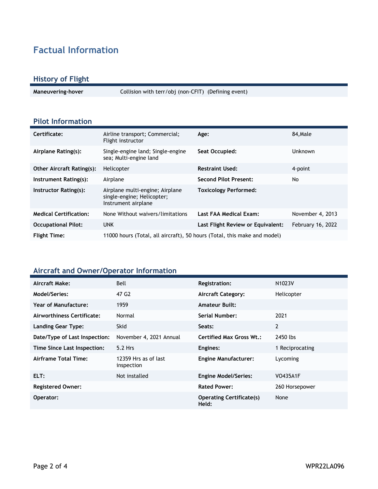## **Factual Information**

#### **History of Flight**

**Maneuvering-hover** Collision with terr/obj (non-CFIT) (Defining event)

#### **Pilot Information**

| Certificate:                     | Airline transport; Commercial;<br>Flight instructor                                  | Age:                              | 84, Male          |
|----------------------------------|--------------------------------------------------------------------------------------|-----------------------------------|-------------------|
| Airplane Rating(s):              | Single-engine land; Single-engine<br>sea; Multi-engine land                          | Seat Occupied:                    | <b>Unknown</b>    |
| <b>Other Aircraft Rating(s):</b> | Helicopter                                                                           | <b>Restraint Used:</b>            | 4-point           |
| Instrument Rating(s):            | Airplane                                                                             | <b>Second Pilot Present:</b>      | No                |
| Instructor Rating(s):            | Airplane multi-engine; Airplane<br>single-engine; Helicopter;<br>Instrument airplane | <b>Toxicology Performed:</b>      |                   |
| <b>Medical Certification:</b>    | None Without waivers/limitations                                                     | Last FAA Medical Exam:            | November 4, 2013  |
| <b>Occupational Pilot:</b>       | <b>UNK</b>                                                                           | Last Flight Review or Equivalent: | February 16, 2022 |
| <b>Flight Time:</b>              | 11000 hours (Total, all aircraft), 50 hours (Total, this make and model)             |                                   |                   |

### **Aircraft and Owner/Operator Information**

| Aircraft Make:                | Bell                               | <b>Registration:</b>                     | N1023V          |
|-------------------------------|------------------------------------|------------------------------------------|-----------------|
| Model/Series:                 | 47 G <sub>2</sub>                  | <b>Aircraft Category:</b>                | Helicopter      |
| Year of Manufacture:          | 1959                               | <b>Amateur Built:</b>                    |                 |
| Airworthiness Certificate:    | Normal                             | Serial Number:                           | 2021            |
| <b>Landing Gear Type:</b>     | <b>Skid</b>                        | Seats:                                   | 2               |
| Date/Type of Last Inspection: | November 4, 2021 Annual            | <b>Certified Max Gross Wt.:</b>          | 2450 lbs        |
| Time Since Last Inspection:   | 5.2 Hrs                            | Engines:                                 | 1 Reciprocating |
| Airframe Total Time:          | 12359 Hrs as of last<br>inspection | <b>Engine Manufacturer:</b>              | Lycoming        |
| ELT:                          | Not installed                      | <b>Engine Model/Series:</b>              | <b>VO435A1F</b> |
| <b>Registered Owner:</b>      |                                    | <b>Rated Power:</b>                      | 260 Horsepower  |
| Operator:                     |                                    | <b>Operating Certificate(s)</b><br>Held: | None            |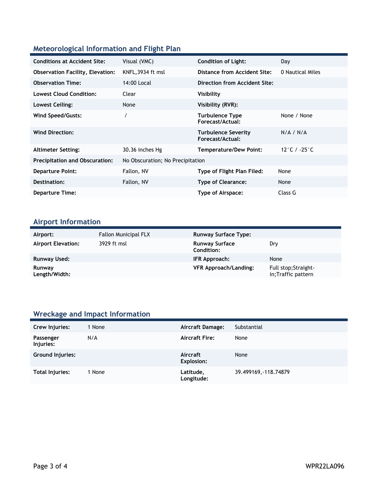### **Meteorological Information and Flight Plan**

| <b>Conditions at Accident Site:</b>     | Visual (VMC)                     | <b>Condition of Light:</b>                     | Day              |
|-----------------------------------------|----------------------------------|------------------------------------------------|------------------|
| <b>Observation Facility, Elevation:</b> | KNFL, 3934 ft msl                | Distance from Accident Site:                   | 0 Nautical Miles |
| <b>Observation Time:</b>                | 14:00 Local                      | Direction from Accident Site:                  |                  |
| <b>Lowest Cloud Condition:</b>          | Clear                            | Visibility                                     |                  |
| Lowest Ceiling:                         | None                             | Visibility (RVR):                              |                  |
| Wind Speed/Gusts:                       |                                  | <b>Turbulence Type</b><br>Forecast/Actual:     | None / None      |
| <b>Wind Direction:</b>                  |                                  | <b>Turbulence Severity</b><br>Forecast/Actual: | N/A / N/A        |
| <b>Altimeter Setting:</b>               | 30.36 inches Hg                  | <b>Temperature/Dew Point:</b>                  | 12°C / -25°C     |
| <b>Precipitation and Obscuration:</b>   | No Obscuration; No Precipitation |                                                |                  |
| <b>Departure Point:</b>                 | Fallon, NV                       | Type of Flight Plan Filed:                     | None             |
| Destination:                            | Fallon, NV                       | <b>Type of Clearance:</b>                      | None             |
| <b>Departure Time:</b>                  |                                  | Type of Airspace:                              | Class G          |

## **Airport Information**

| Airport:                  | <b>Fallon Municipal FLX</b> | <b>Runway Surface Type:</b>                |                                             |
|---------------------------|-----------------------------|--------------------------------------------|---------------------------------------------|
| <b>Airport Elevation:</b> | 3929 ft msl                 | <b>Runway Surface</b><br><b>Condition:</b> | Dry                                         |
| Runway Used:              |                             | IFR Approach:                              | None                                        |
| Runway<br>Length/Width:   |                             | <b>VFR Approach/Landing:</b>               | Full stop; Straight-<br>in; Traffic pattern |

## **Wreckage and Impact Information**

| Crew Injuries:         | 1 None | Aircraft Damage:        | Substantial           |
|------------------------|--------|-------------------------|-----------------------|
| Passenger<br>Injuries: | N/A    | <b>Aircraft Fire:</b>   | None                  |
| Ground Injuries:       |        | Aircraft<br>Explosion:  | None                  |
| Total Injuries:        | 1 None | Latitude,<br>Longitude: | 39.499169, -118.74879 |